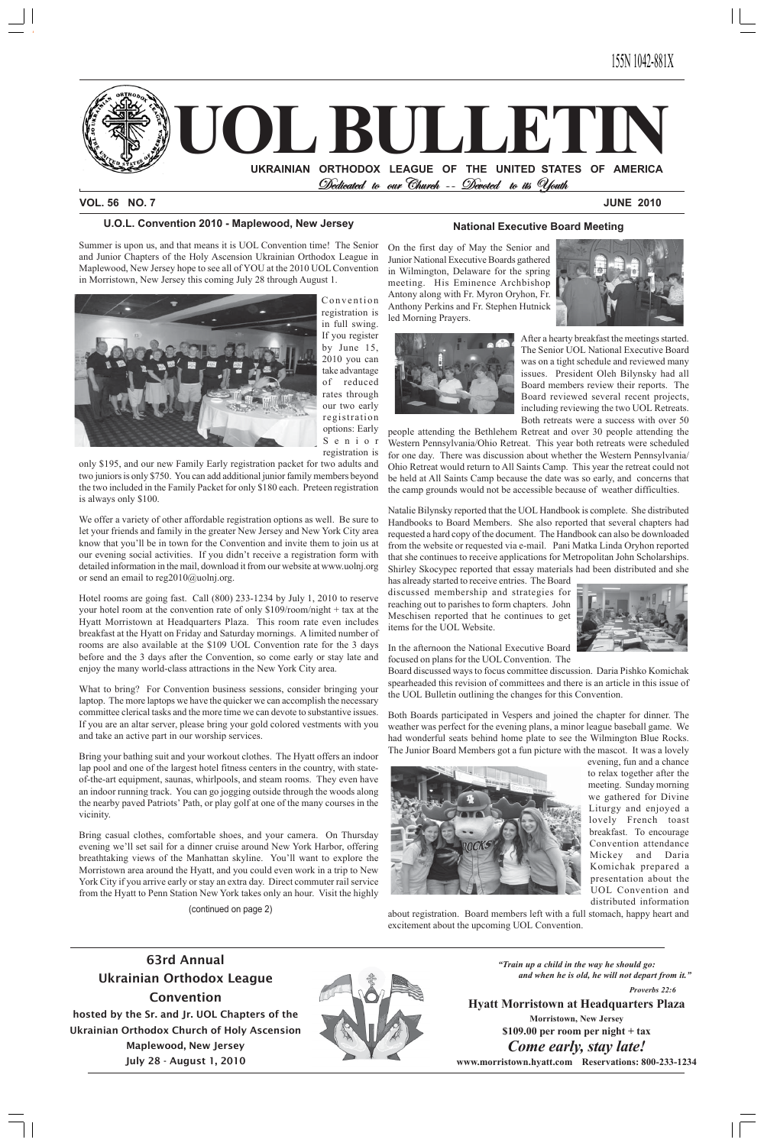

#### **VOL. 56 NO. 7 JUNE 2010**

*"Train up a child in the way he should go: and when he is old, he will not depart from it."*

*Proverbs 22:6*

# **Hyatt Morristown at Headquarters Plaza**

**Morristown, New Jersey \$109.00 per room per night + tax** *Come early, stay late!*

**www.morristown.hyatt.com Reservations: 800-233-1234**

# **63rd Annual Ukrainian Orthodox League Convention hosted by the Sr. and Jr. UOL Chapters of the Ukrainian Orthodox Church of Holy Ascension Maplewood, New Jersey July 28 - August 1, 2010**



# **U.O.L. Convention 2010 - Maplewood, New Jersey**

Summer is upon us, and that means it is UOL Convention time! The Senior and Junior Chapters of the Holy Ascension Ukrainian Orthodox League in Maplewood, New Jersey hope to see all of YOU at the 2010 UOL Convention in Morristown, New Jersey this coming July 28 through August 1.



detailed information in the mail, download it from our website at www.uolnj.org Shirley Skocypec reported that essay r<br>or send an email to reg2010@uolnj.org. has already started to receive entries. The We offer a variety of other affordable registration options as well. Be sure to let your friends and family in the greater New Jersey and New York City area know that you'll be in town for the Convention and invite them to join us at our evening social activities. If you didn't receive a registration form with or send an email to reg2010@uolnj.org.

Convention registration is in full swing. If you register by June 15, 2010 you can take advantage of reduced rates through our two early registration options: Early Senior registration is

Hotel rooms are going fast. Call (800) 233-1234 by July 1, 2010 to reserve your hotel room at the convention rate of only \$109/room/night + tax at the Hotel rooms are going fast. Call (800) 233-1234 by July 1, 2010 to reserve Hyatt Morristown at Headquarters Plaza. This room rate even includes breakfast at the Hyatt on Friday and Saturday mornings. A limited number of rooms are also available at the \$109 UOL Convention rate for the 3 days before and the 3 days after the Convention, so come early or stay late and enjoy the many world-class attractions in the New York City area.

only \$195, and our new Family Early registration packet for two adults and two juniors is only \$750. You can add additional junior family members beyond the two included in the Family Packet for only \$180 each. Preteen registration is always only \$100.

What to bring? For Convention business sessions, consider bringing your laptop. The more laptops we have the quicker we can accomplish the necessary committee clerical tasks and the more time we can devote to substantive issues. If you are an altar server, please bring your gold colored vestments with you and take an active part in our worship services.

Bring your bathing suit and your workout clothes. The Hyatt offers an indoor lap pool and one of the largest hotel fitness centers in the country, with stateof-the-art equipment, saunas, whirlpools, and steam rooms. They even have an indoor running track. You can go jogging outside through the woods along the nearby paved Patriots' Path, or play golf at one of the many courses in the vicinity.

Bring casual clothes, comfortable shoes, and your camera. On Thursday evening we'll set sail for a dinner cruise around New York Harbor, offering breathtaking views of the Manhattan skyline. You'll want to explore the Morristown area around the Hyatt, and you could even work in a trip to New York City if you arrive early or stay an extra day. Direct commuter rail service from the Hyatt to Penn Station New York takes only an hour. Visit the highly

### **National Executive Board Meeting**

On the first day of May the Senior and Junior National Executive Boards gathered in Wilmington, Delaware for the spring meeting. His Eminence Archbishop Antony along with Fr. Myron Oryhon, Fr. Anthony Perkins and Fr. Stephen Hutnick led Morning Prayers.





After a hearty breakfast the meetings started. The Senior UOL National Executive Board was on a tight schedule and reviewed many issues. President Oleh Bilynsky had all Board members review their reports. The Board reviewed several recent projects, including reviewing the two UOL Retreats. Both retreats were a success with over 50

people attending the Bethlehem Retreat and over 30 people attending the Western Pennsylvania/Ohio Retreat. This year both retreats were scheduled for one day. There was discussion about whether the Western Pennsylvania/ Ohio Retreat would return to All Saints Camp. This year the retreat could not be held at All Saints Camp because the date was so early, and concerns that the camp grounds would not be accessible because of weather difficulties.

Natalie Bilynsky reported that the UOL Handbook is complete. She distributed Handbooks to Board Members. She also reported that several chapters had requested a hard copy of the document. The Handbook can also be downloaded from the website or requested via e-mail. Pani Matka Linda Oryhon reported that she continues to receive applications for Metropolitan John Scholarships. Shirley Skocypec reported that essay materials had been distributed and she

has already started to receive entries. The Board discussed membership and strategies for reaching out to parishes to form chapters. John Meschisen reported that he continues to get items for the UOL Website.



In the afternoon the National Executive Board focused on plans for the UOL Convention. The

Board discussed ways to focus committee discussion. Daria Pishko Komichak spearheaded this revision of committees and there is an article in this issue of the UOL Bulletin outlining the changes for this Convention.

Both Boards participated in Vespers and joined the chapter for dinner. The weather was perfect for the evening plans, a minor league baseball game. We had wonderful seats behind home plate to see the Wilmington Blue Rocks. The Junior Board Members got a fun picture with the mascot. It was a lovely



evening, fun and a chance to relax together after the meeting. Sunday morning we gathered for Divine

Liturgy and enjoyed a lovely French toast breakfast. To encourage Convention attendance Mickey and Daria Komichak prepared a presentation about the UOL Convention and distributed information

about registration. Board members left with a full stomach, happy heart and excitement about the upcoming UOL Convention.

(continued on page 2)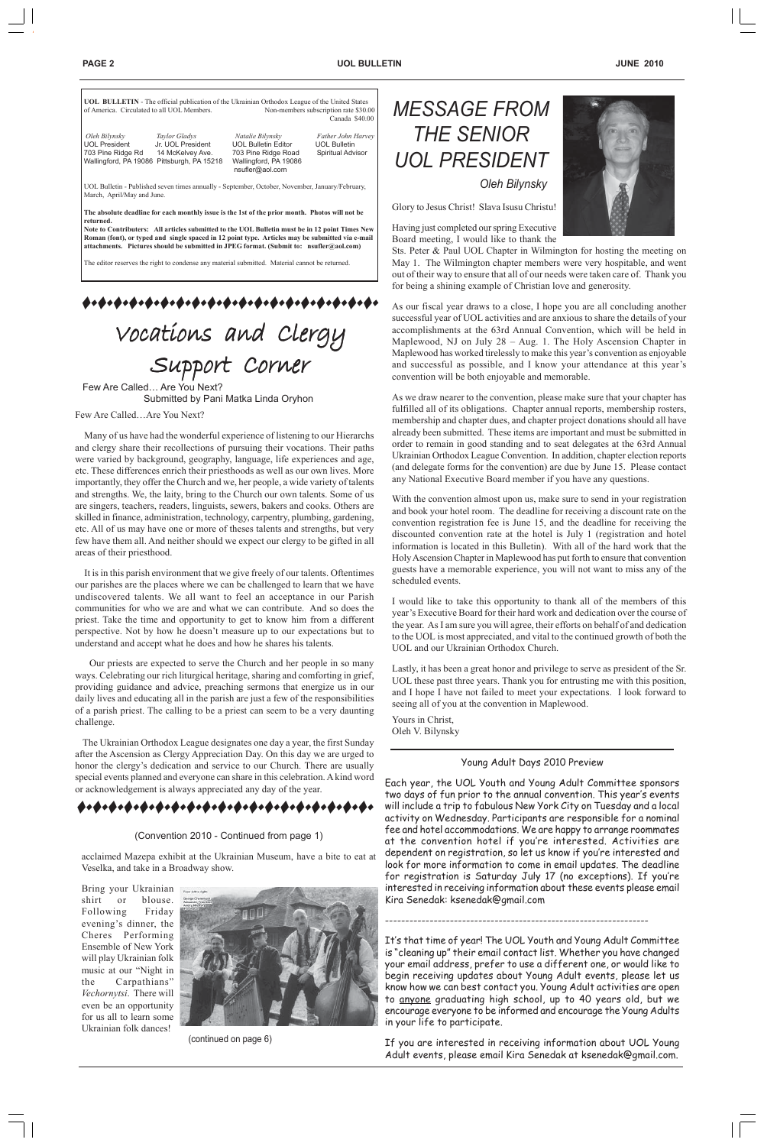| of America. Circulated to all UOL Members.                                                                                    |                                    | <b>UOL BULLETIN</b> - The official publication of the Ukrainian Orthodox League of the United States                                                                                                                                                                                                                                                                                                                                                                                            | Non-members subscription rate \$30.00<br>Canada \$40.00        |  |  |
|-------------------------------------------------------------------------------------------------------------------------------|------------------------------------|-------------------------------------------------------------------------------------------------------------------------------------------------------------------------------------------------------------------------------------------------------------------------------------------------------------------------------------------------------------------------------------------------------------------------------------------------------------------------------------------------|----------------------------------------------------------------|--|--|
| Oleh Bilvnskv<br><b>UOL President</b><br>703 Pine Ridge Rd 14 McKelvey Ave.<br>Wallingford, PA 19086 Pittsburgh, PA 15218     | Taylor Gladys<br>Jr. UOL President | Natalie Bilynsky<br><b>UOL Bulletin Editor</b><br>703 Pine Ridge Road<br>Wallingford, PA 19086<br>nsufler@aol.com                                                                                                                                                                                                                                                                                                                                                                               | Father John Harvey<br><b>UOL Bulletin</b><br>Spiritual Advisor |  |  |
| UOL Bulletin - Published seven times annually - September, October, November, January/February,<br>March, April/May and June. |                                    |                                                                                                                                                                                                                                                                                                                                                                                                                                                                                                 |                                                                |  |  |
| returned.                                                                                                                     |                                    | The absolute deadline for each monthly issue is the 1st of the prior month. Photos will not be<br>Note to Contributers: All articles submitted to the UOL Bulletin must be in 12 point Times New<br>Roman (font), or typed and single spaced in 12 point type. Articles may be submitted via e-mail<br>attachments. Pictures should be submitted in JPEG format. (Submit to: nsufler@aol.com)<br>The editor reserves the right to condense any material submitted. Material cannot be returned. |                                                                |  |  |
|                                                                                                                               |                                    |                                                                                                                                                                                                                                                                                                                                                                                                                                                                                                 |                                                                |  |  |
|                                                                                                                               |                                    | Vocations and Clergy                                                                                                                                                                                                                                                                                                                                                                                                                                                                            |                                                                |  |  |

Support Corner Few Are Called… Are You Next? Submitted by Pani Matka Linda Oryhon



Few Are Called…Are You Next?

 Many of us have had the wonderful experience of listening to our Hierarchs and clergy share their recollections of pursuing their vocations. Their paths were varied by background, geography, language, life experiences and age, etc. These differences enrich their priesthoods as well as our own lives. More importantly, they offer the Church and we, her people, a wide variety of talents and strengths. We, the laity, bring to the Church our own talents. Some of us are singers, teachers, readers, linguists, sewers, bakers and cooks. Others are skilled in finance, administration, technology, carpentry, plumbing, gardening, etc. All of us may have one or more of theses talents and strengths, but very few have them all. And neither should we expect our clergy to be gifted in all areas of their priesthood.

 It is in this parish environment that we give freely of our talents. Oftentimes our parishes are the places where we can be challenged to learn that we have undiscovered talents. We all want to feel an acceptance in our Parish communities for who we are and what we can contribute. And so does the priest. Take the time and opportunity to get to know him from a different perspective. Not by how he doesn't measure up to our expectations but to understand and accept what he does and how he shares his talents.

 Our priests are expected to serve the Church and her people in so many ways. Celebrating our rich liturgical heritage, sharing and comforting in grief, providing guidance and advice, preaching sermons that energize us in our daily lives and educating all in the parish are just a few of the responsibilities of a parish priest. The calling to be a priest can seem to be a very daunting challenge.

 The Ukrainian Orthodox League designates one day a year, the first Sunday after the Ascension as Clergy Appreciation Day. On this day we are urged to honor the clergy's dedication and service to our Church. There are usually special events planned and everyone can share in this celebration. A kind word or acknowledgement is always appreciated any day of the year.

Glory to Jesus Christ! Slava Isusu Christu!



Having just completed our spring Executive Board meeting, I would like to thank the

Sts. Peter & Paul UOL Chapter in Wilmington for hosting the meeting on May 1. The Wilmington chapter members were very hospitable, and went out of their way to ensure that all of our needs were taken care of. Thank you for being a shining example of Christian love and generosity.

As our fiscal year draws to a close, I hope you are all concluding another successful year of UOL activities and are anxious to share the details of your accomplishments at the 63rd Annual Convention, which will be held in Maplewood, NJ on July 28 – Aug. 1. The Holy Ascension Chapter in Maplewood has worked tirelessly to make this year's convention as enjoyable and successful as possible, and I know your attendance at this year's convention will be both enjoyable and memorable.

As we draw nearer to the convention, please make sure that your chapter has fulfilled all of its obligations. Chapter annual reports, membership rosters, membership and chapter dues, and chapter project donations should all have already been submitted. These items are important and must be submitted in order to remain in good standing and to seat delegates at the 63rd Annual Ukrainian Orthodox League Convention. In addition, chapter election reports (and delegate forms for the convention) are due by June 15. Please contact any National Executive Board member if you have any questions.

With the convention almost upon us, make sure to send in your registration and book your hotel room. The deadline for receiving a discount rate on the convention registration fee is June 15, and the deadline for receiving the discounted convention rate at the hotel is July 1 (registration and hotel information is located in this Bulletin). With all of the hard work that the Holy Ascension Chapter in Maplewood has put forth to ensure that convention guests have a memorable experience, you will not want to miss any of the scheduled events.

I would like to take this opportunity to thank all of the members of this year's Executive Board for their hard work and dedication over the course of the year. As I am sure you will agree, their efforts on behalf of and dedication to the UOL is most appreciated, and vital to the continued growth of both the UOL and our Ukrainian Orthodox Church.

Lastly, it has been a great honor and privilege to serve as president of the Sr. UOL these past three years. Thank you for entrusting me with this position, and I hope I have not failed to meet your expectations. I look forward to seeing all of you at the convention in Maplewood.

Yours in Christ, Oleh V. Bilynsky

#### Young Adult Days 2010 Preview

Each year, the UOL Youth and Young Adult Committee sponsors two days of fun prior to the annual convention. This year's events will include a trip to fabulous New York City on Tuesday and a local activity on Wednesday. Participants are responsible for a nominal fee and hotel accommodations. We are happy to arrange roommates at the convention hotel if you're interested. Activities are dependent on registration, so let us know if you're interested and look for more information to come in email updates. The deadline for registration is Saturday July 17 (no exceptions). If you're interested in receiving information about these events please email Kira Senedak: ksenedak@gmail.com

# \*\*\*\*\*\*\*\*\*\*\*\*\*\*\*\*\*\*

-----------------------------------------------------------------

It's that time of year! The UOL Youth and Young Adult Committee is "cleaning up" their email contact list. Whether you have changed your email address, prefer to use a different one, or would like to begin receiving updates about Young Adult events, please let us know how we can best contact you. Young Adult activities are open to anyone graduating high school, up to 40 years old, but we encourage everyone to be informed and encourage the Young Adults in your life to participate.

If you are interested in receiving information about UOL Young Adult events, please email Kira Senedak at ksenedak@gmail.com.

#### (Convention 2010 - Continued from page 1)

acclaimed Mazepa exhibit at the Ukrainian Museum, have a bite to eat at Veselka, and take in a Broadway show.

Bring your Ukrainian shirt or blouse. Following Friday evening's dinner, the Cheres Performing Ensemble of New York will play Ukrainian folk music at our "Night in the Carpathians" *Vechornytsi*. There will even be an opportunity for us all to learn some Ukrainian folk dances!



(continued on page 6)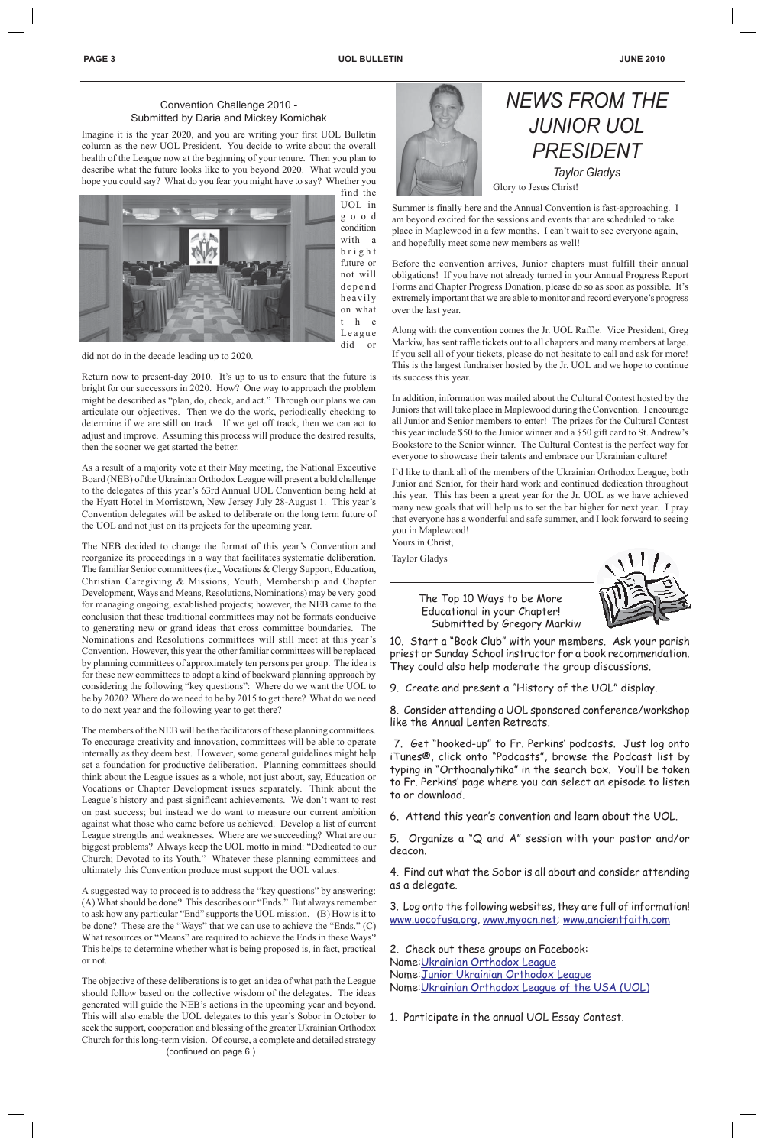# *NEWS FROM THE JUNIOR UOL PRESIDENT Taylor Gladys* Glory to Jesus Christ!

Summer is finally here and the Annual Convention is fast-approaching. I am beyond excited for the sessions and events that are scheduled to take place in Maplewood in a few months. I can't wait to see everyone again, and hopefully meet some new members as well!

Before the convention arrives, Junior chapters must fulfill their annual obligations! If you have not already turned in your Annual Progress Report Forms and Chapter Progress Donation, please do so as soon as possible. It's extremely important that we are able to monitor and record everyone's progress over the last year.

Along with the convention comes the Jr. UOL Raffle. Vice President, Greg Markiw, has sent raffle tickets out to all chapters and many members at large. If you sell all of your tickets, please do not hesitate to call and ask for more! This is the largest fundraiser hosted by the Jr. UOL and we hope to continue its success this year.

In addition, information was mailed about the Cultural Contest hosted by the Juniors that will take place in Maplewood during the Convention. I encourage all Junior and Senior members to enter! The prizes for the Cultural Contest this year include \$50 to the Junior winner and a \$50 gift card to St. Andrew's Bookstore to the Senior winner. The Cultural Contest is the perfect way for everyone to showcase their talents and embrace our Ukrainian culture!

I'd like to thank all of the members of the Ukrainian Orthodox League, both Junior and Senior, for their hard work and continued dedication throughout this year. This has been a great year for the Jr. UOL as we have achieved many new goals that will help us to set the bar higher for next year. I pray that everyone has a wonderful and safe summer, and I look forward to seeing you in Maplewood! Yours in Christ,

Taylor Gladys

 The Top 10 Ways to be More Educational in your Chapter! Submitted by Gregory Markiw



10. Start a "Book Club" with your members. Ask your parish priest or Sunday School instructor for a book recommendation. They could also help moderate the group discussions.

9. Create and present a "History of the UOL" display.

8. Consider attending a UOL sponsored conference/workshop like the Annual Lenten Retreats.

 7. Get "hooked-up" to Fr. Perkins' podcasts. Just log onto iTunes®, click onto "Podcasts", browse the Podcast list by typing in "Orthoanalytika" in the search box. You'll be taken to Fr. Perkins' page where you can select an episode to listen to or download.

6. Attend this year's convention and learn about the UOL.

5. Organize a "Q and A" session with your pastor and/or deacon.

4. Find out what the Sobor is all about and consider attending as a delegate.

3. Log onto the following websites, they are full of information! www.uocofusa.org, www.myocn.net; www.ancientfaith.com

2. Check out these groups on Facebook: Name:Ukrainian Orthodox League Name:Junior Ukrainian Orthodox League Name:Ukrainian Orthodox League of the USA (UOL)

1. Participate in the annual UOL Essay Contest.

#### Convention Challenge 2010 - Submitted by Daria and Mickey Komichak

Imagine it is the year 2020, and you are writing your first UOL Bulletin column as the new UOL President. You decide to write about the overall health of the League now at the beginning of your tenure. Then you plan to describe what the future looks like to you beyond 2020. What would you hope you could say? What do you fear you might have to say? Whether you



find the UOL in good condition with a bright future or not will depend heavily on what t h e League did or

did not do in the decade leading up to 2020.

Return now to present-day 2010. It's up to us to ensure that the future is bright for our successors in 2020. How? One way to approach the problem might be described as "plan, do, check, and act." Through our plans we can articulate our objectives. Then we do the work, periodically checking to determine if we are still on track. If we get off track, then we can act to adjust and improve. Assuming this process will produce the desired results, then the sooner we get started the better.

As a result of a majority vote at their May meeting, the National Executive Board (NEB) of the Ukrainian Orthodox League will present a bold challenge to the delegates of this year's 63rd Annual UOL Convention being held at the Hyatt Hotel in Morristown, New Jersey July 28-August 1. This year's Convention delegates will be asked to deliberate on the long term future of the UOL and not just on its projects for the upcoming year.

The NEB decided to change the format of this year's Convention and reorganize its proceedings in a way that facilitates systematic deliberation. The familiar Senior committees (i.e., Vocations & Clergy Support, Education, Christian Caregiving & Missions, Youth, Membership and Chapter Development, Ways and Means, Resolutions, Nominations) may be very good for managing ongoing, established projects; however, the NEB came to the conclusion that these traditional committees may not be formats conducive to generating new or grand ideas that cross committee boundaries. The Nominations and Resolutions committees will still meet at this year's Convention. However, this year the other familiar committees will be replaced by planning committees of approximately ten persons per group. The idea is for these new committees to adopt a kind of backward planning approach by considering the following "key questions": Where do we want the UOL to be by 2020? Where do we need to be by 2015 to get there? What do we need to do next year and the following year to get there?

The members of the NEB will be the facilitators of these planning committees. To encourage creativity and innovation, committees will be able to operate internally as they deem best. However, some general guidelines might help set a foundation for productive deliberation. Planning committees should think about the League issues as a whole, not just about, say, Education or Vocations or Chapter Development issues separately. Think about the League's history and past significant achievements. We don't want to rest on past success; but instead we do want to measure our current ambition against what those who came before us achieved. Develop a list of current League strengths and weaknesses. Where are we succeeding? What are our biggest problems? Always keep the UOL motto in mind: "Dedicated to our Church; Devoted to its Youth." Whatever these planning committees and ultimately this Convention produce must support the UOL values.



A suggested way to proceed is to address the "key questions" by answering: (A) What should be done? This describes our "Ends." But always remember to ask how any particular "End" supports the UOL mission. (B) How is it to be done? These are the "Ways" that we can use to achieve the "Ends." (C) What resources or "Means" are required to achieve the Ends in these Ways? This helps to determine whether what is being proposed is, in fact, practical or not.

The objective of these deliberations is to get an idea of what path the League should follow based on the collective wisdom of the delegates. The ideas generated will guide the NEB's actions in the upcoming year and beyond. This will also enable the UOL delegates to this year's Sobor in October to seek the support, cooperation and blessing of the greater Ukrainian Orthodox Church for this long-term vision. Of course, a complete and detailed strategy (continued on page 6 )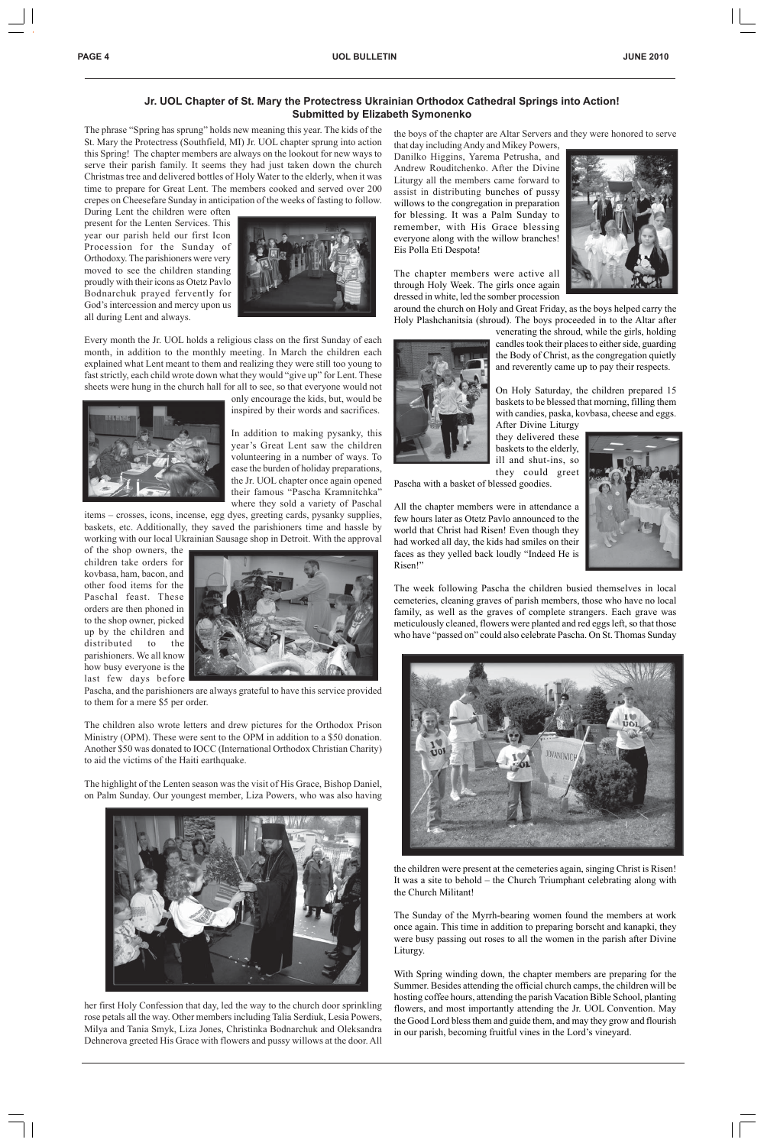The phrase "Spring has sprung" holds new meaning this year. The kids of the St. Mary the Protectress (Southfield, MI) Jr. UOL chapter sprung into action this Spring! The chapter members are always on the lookout for new ways to serve their parish family. It seems they had just taken down the church Christmas tree and delivered bottles of Holy Water to the elderly, when it was time to prepare for Great Lent. The members cooked and served over 200 crepes on Cheesefare Sunday in anticipation of the weeks of fasting to follow.

During Lent the children were often present for the Lenten Services. This year our parish held our first Icon Procession for the Sunday of Orthodoxy. The parishioners were very moved to see the children standing proudly with their icons as Otetz Pavlo Bodnarchuk prayed fervently for God's intercession and mercy upon us all during Lent and always.



Every month the Jr. UOL holds a religious class on the first Sunday of each month, in addition to the monthly meeting. In March the children each explained what Lent meant to them and realizing they were still too young to fast strictly, each child wrote down what they would "give up" for Lent. These sheets were hung in the church hall for all to see, so that everyone would not



only encourage the kids, but, would be inspired by their words and sacrifices.

In addition to making pysanky, this year's Great Lent saw the children volunteering in a number of ways. To ease the burden of holiday preparations, the Jr. UOL chapter once again opened their famous "Pascha Kramnitchka" where they sold a variety of Paschal

items – crosses, icons, incense, egg dyes, greeting cards, pysanky supplies, baskets, etc. Additionally, they saved the parishioners time and hassle by working with our local Ukrainian Sausage shop in Detroit. With the approval

of the shop owners, the children take orders for kovbasa, ham, bacon, and other food items for the Paschal feast. These orders are then phoned in to the shop owner, picked up by the children and distributed to the parishioners. We all know how busy everyone is the last few days before



Pascha, and the parishioners are always grateful to have this service provided to them for a mere \$5 per order.

The children also wrote letters and drew pictures for the Orthodox Prison Ministry (OPM). These were sent to the OPM in addition to a \$50 donation. Another \$50 was donated to IOCC (International Orthodox Christian Charity) to aid the victims of the Haiti earthquake.

The highlight of the Lenten season was the visit of His Grace, Bishop Daniel, on Palm Sunday. Our youngest member, Liza Powers, who was also having

her first Holy Confession that day, led the way to the church door sprinkling rose petals all the way. Other members including Talia Serdiuk, Lesia Powers, Milya and Tania Smyk, Liza Jones, Christinka Bodnarchuk and Oleksandra Dehnerova greeted His Grace with flowers and pussy willows at the door. All the boys of the chapter are Altar Servers and they were honored to serve that day including Andy and Mikey Powers,

Danilko Higgins, Yarema Petrusha, and Andrew Rouditchenko. After the Divine Liturgy all the members came forward to assist in distributing bunches of pussy willows to the congregation in preparation for blessing. It was a Palm Sunday to remember, with His Grace blessing everyone along with the willow branches! Eis Polla Eti Despota!



The chapter members were active all through Holy Week. The girls once again dressed in white, led the somber procession

around the church on Holy and Great Friday, as the boys helped carry the Holy Plashchanitsia (shroud). The boys proceeded in to the Altar after



venerating the shroud, while the girls, holding candles took their places to either side, guarding the Body of Christ, as the congregation quietly and reverently came up to pay their respects.

On Holy Saturday, the children prepared 15 baskets to be blessed that morning, filling them with candies, paska, kovbasa, cheese and eggs. After Divine Liturgy

they delivered these baskets to the elderly, ill and shut-ins, so they could greet

Pascha with a basket of blessed goodies.

All the chapter members were in attendance a few hours later as Otetz Pavlo announced to the world that Christ had Risen! Even though they had worked all day, the kids had smiles on their faces as they yelled back loudly "Indeed He is Risen!"

The week following Pascha the children busied themselves in local cemeteries, cleaning graves of parish members, those who have no local family, as well as the graves of complete strangers. Each grave was meticulously cleaned, flowers were planted and red eggs left, so that those who have "passed on" could also celebrate Pascha. On St. Thomas Sunday







the children were present at the cemeteries again, singing Christ is Risen! It was a site to behold – the Church Triumphant celebrating along with the Church Militant!

The Sunday of the Myrrh-bearing women found the members at work once again. This time in addition to preparing borscht and kanapki, they were busy passing out roses to all the women in the parish after Divine Liturgy.

With Spring winding down, the chapter members are preparing for the Summer. Besides attending the official church camps, the children will be hosting coffee hours, attending the parish Vacation Bible School, planting flowers, and most importantly attending the Jr. UOL Convention. May the Good Lord bless them and guide them, and may they grow and flourish in our parish, becoming fruitful vines in the Lord's vineyard.

### **Jr. UOL Chapter of St. Mary the Protectress Ukrainian Orthodox Cathedral Springs into Action! Submitted by Elizabeth Symonenko**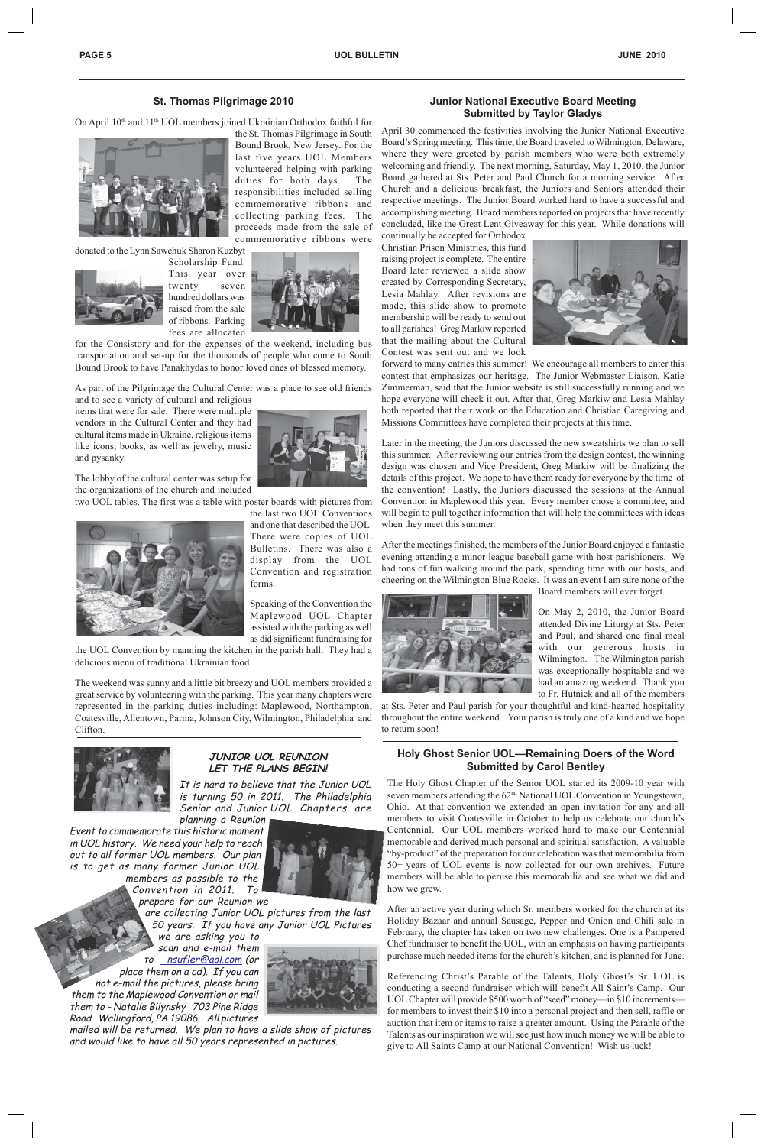**PAGE 5** UOL BULLETIN JUNE 2010

#### **St. Thomas Pilgrimage 2010**

On April 10<sup>th</sup> and 11<sup>th</sup> UOL members joined Ukrainian Orthodox faithful for



the St. Thomas Pilgrimage in South Bound Brook, New Jersey. For the last five years UOL Members volunteered helping with parking duties for both days. The responsibilities included selling commemorative ribbons and collecting parking fees. The proceeds made from the sale of commemorative ribbons were

donated to the Lynn Sawchuk Sharon Kuzbyt



Scholarship Fund. This year over twenty seven hundred dollars was raised from the sale of ribbons. Parking fees are allocated



for the Consistory and for the expenses of the weekend, including bus transportation and set-up for the thousands of people who come to South Bound Brook to have Panakhydas to honor loved ones of blessed memory.

As part of the Pilgrimage the Cultural Center was a place to see old friends and to see a variety of cultural and religious

items that were for sale. There were multiple vendors in the Cultural Center and they had cultural items made in Ukraine, religious items like icons, books, as well as jewelry, music and pysanky.

The lobby of the cultural center was setup for the organizations of the church and included

two UOL tables. The first was a table with poster boards with pictures from



the last two UOL Conventions and one that described the UOL. There were copies of UOL Bulletins. There was also a display from the UOL Convention and registration forms.

Speaking of the Convention the Maplewood UOL Chapter assisted with the parking as well as did significant fundraising for

the UOL Convention by manning the kitchen in the parish hall. They had a delicious menu of traditional Ukrainian food.

The weekend was sunny and a little bit breezy and UOL members provided a great service by volunteering with the parking. This year many chapters were represented in the parking duties including: Maplewood, Northampton, Coatesville, Allentown, Parma, Johnson City, Wilmington, Philadelphia and Clifton.



#### **Junior National Executive Board Meeting Submitted by Taylor Gladys**

April 30 commenced the festivities involving the Junior National Executive Board's Spring meeting. This time, the Board traveled to Wilmington, Delaware, where they were greeted by parish members who were both extremely welcoming and friendly. The next morning, Saturday, May 1, 2010, the Junior Board gathered at Sts. Peter and Paul Church for a morning service. After Church and a delicious breakfast, the Juniors and Seniors attended their respective meetings. The Junior Board worked hard to have a successful and accomplishing meeting. Board members reported on projects that have recently concluded, like the Great Lent Giveaway for this year. While donations will

continually be accepted for Orthodox Christian Prison Ministries, this fund raising project is complete. The entire Board later reviewed a slide show created by Corresponding Secretary, Lesia Mahlay. After revisions are made, this slide show to promote membership will be ready to send out to all parishes! Greg Markiw reported that the mailing about the Cultural Contest was sent out and we look



forward to many entries this summer! We encourage all members to enter this contest that emphasizes our heritage. The Junior Webmaster Liaison, Katie Zimmerman, said that the Junior website is still successfully running and we hope everyone will check it out. After that, Greg Markiw and Lesia Mahlay both reported that their work on the Education and Christian Caregiving and Missions Committees have completed their projects at this time.

Later in the meeting, the Juniors discussed the new sweatshirts we plan to sell this summer. After reviewing our entries from the design contest, the winning design was chosen and Vice President, Greg Markiw will be finalizing the details of this project. We hope to have them ready for everyone by the time of the convention! Lastly, the Juniors discussed the sessions at the Annual Convention in Maplewood this year. Every member chose a committee, and will begin to pull together information that will help the committees with ideas when they meet this summer.

After the meetings finished, the members of the Junior Board enjoyed a fantastic evening attending a minor league baseball game with host parishioners. We had tons of fun walking around the park, spending time with our hosts, and cheering on the Wilmington Blue Rocks. It was an event I am sure none of the



Board members will ever forget.

On May 2, 2010, the Junior Board attended Divine Liturgy at Sts. Peter and Paul, and shared one final meal with our generous hosts in Wilmington. The Wilmington parish was exceptionally hospitable and we had an amazing weekend. Thank you to Fr. Hutnick and all of the members

at Sts. Peter and Paul parish for your thoughtful and kind-hearted hospitality throughout the entire weekend. Your parish is truly one of a kind and we hope to return soon!

### **JUNIOR UOL REUNION LET THE PLANS BEGIN!**

It is hard to believe that the Junior UOL is turning 50 in 2011. The Philadelphia Senior and Junior UOL Chapters are planning a Reunion

Event to commemorate this historic moment in UOL history. We need your help to reach out to all former UOL members. Our plan is to get as many former Junior UOL members as possible to the Convention in 2011. To



prepare for our Reunion we

are collecting Junior UOL pictures from the last 50 years. If you have any Junior UOL Pictures we are asking you to

scan and e-mail them to \_nsufler@aol.com (or place them on a cd). If you can not e-mail the pictures, please bring them to the Maplewood Convention or mail them to - Natalie Bilynsky 703 Pine Ridge Road Wallingford, PA 19086. All pictures



mailed will be returned. We plan to have a slide show of pictures and would like to have all 50 years represented in pictures.

#### **Holy Ghost Senior UOL—Remaining Doers of the Word Submitted by Carol Bentley**

The Holy Ghost Chapter of the Senior UOL started its 2009-10 year with seven members attending the 62<sup>nd</sup> National UOL Convention in Youngstown, Ohio. At that convention we extended an open invitation for any and all members to visit Coatesville in October to help us celebrate our church's Centennial. Our UOL members worked hard to make our Centennial memorable and derived much personal and spiritual satisfaction. A valuable "by-product" of the preparation for our celebration was that memorabilia from 50+ years of UOL events is now collected for our own archives. Future members will be able to peruse this memorabilia and see what we did and how we grew.

After an active year during which Sr. members worked for the church at its Holiday Bazaar and annual Sausage, Pepper and Onion and Chili sale in February, the chapter has taken on two new challenges. One is a Pampered Chef fundraiser to benefit the UOL, with an emphasis on having participants purchase much needed items for the church's kitchen, and is planned for June.

Referencing Christ's Parable of the Talents, Holy Ghost's Sr. UOL is conducting a second fundraiser which will benefit All Saint's Camp. Our UOL Chapter will provide \$500 worth of "seed" money—in \$10 increments for members to invest their \$10 into a personal project and then sell, raffle or auction that item or items to raise a greater amount. Using the Parable of the Talents as our inspiration we will see just how much money we will be able to give to All Saints Camp at our National Convention! Wish us luck!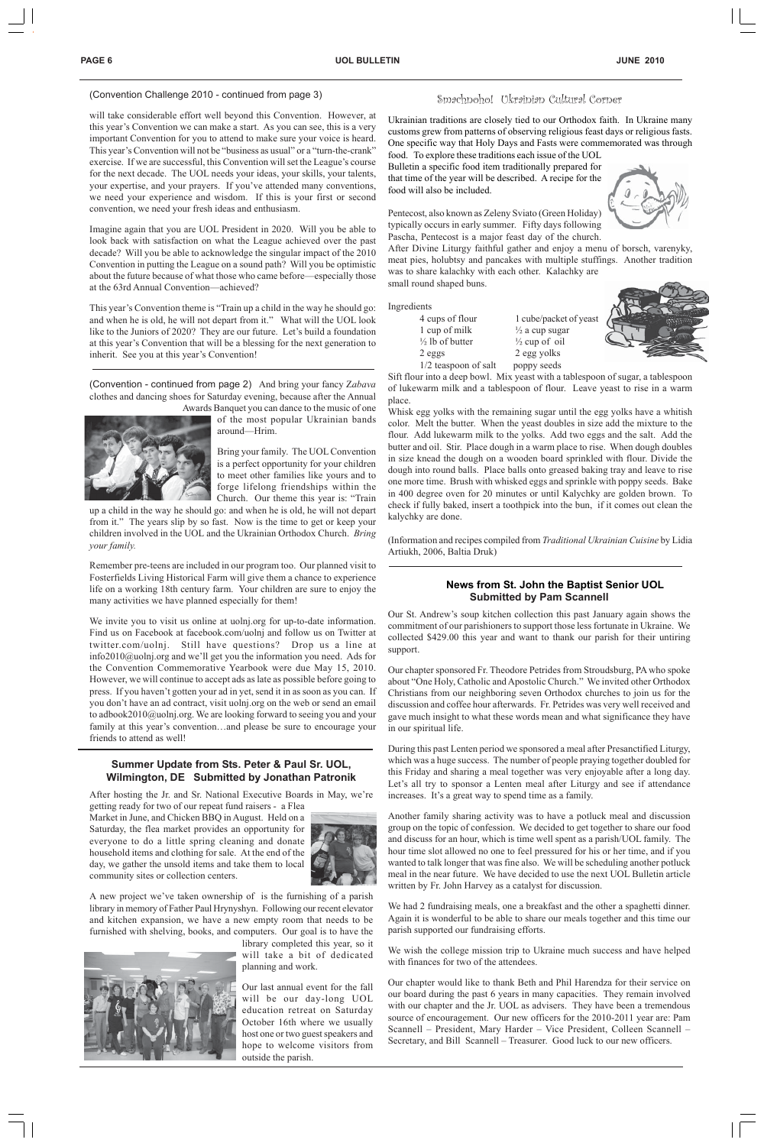#### Smachnoho! Ukrainian Cultural Corner

Ukrainian traditions are closely tied to our Orthodox faith. In Ukraine many customs grew from patterns of observing religious feast days or religious fasts. One specific way that Holy Days and Fasts were commemorated was through

food. To explore these traditions each issue of the UOL Bulletin a specific food item traditionally prepared for that time of the year will be described. A recipe for the food will also be included.



Pentecost, also known as Zeleny Sviato (Green Holiday) typically occurs in early summer. Fifty days following Pascha, Pentecost is a major feast day of the church.

After Divine Liturgy faithful gather and enjoy a menu of borsch, varenyky, meat pies, holubtsy and pancakes with multiple stuffings. Another tradition was to share kalachky with each other. Kalachky are small round shaped buns.

Ingredients

4 cups of flour 1 cube/packet of yeast 1 cup of milk  $\frac{1}{2}$  a cup sugar  $\frac{1}{2}$  lb of butter  $\frac{1}{2}$  cup of oil 2 eggs 2 egg yolks 1/2 teaspoon of salt poppy seeds

Sift flour into a deep bowl. Mix yeast with a tablespoon of sugar, a tablespoon of lukewarm milk and a tablespoon of flour. Leave yeast to rise in a warm place.

Whisk egg yolks with the remaining sugar until the egg yolks have a whitish color. Melt the butter. When the yeast doubles in size add the mixture to the flour. Add lukewarm milk to the yolks. Add two eggs and the salt. Add the butter and oil. Stir. Place dough in a warm place to rise. When dough doubles in size knead the dough on a wooden board sprinkled with flour. Divide the dough into round balls. Place balls onto greased baking tray and leave to rise one more time. Brush with whisked eggs and sprinkle with poppy seeds. Bake in 400 degree oven for 20 minutes or until Kalychky are golden brown. To check if fully baked, insert a toothpick into the bun, if it comes out clean the kalychky are done.

(Information and recipes compiled from *Traditional Ukrainian Cuisine* by Lidia Artiukh, 2006, Baltia Druk)

### (Convention Challenge 2010 - continued from page 3)

will take considerable effort well beyond this Convention. However, at this year's Convention we can make a start. As you can see, this is a very important Convention for you to attend to make sure your voice is heard. This year's Convention will not be "business as usual" or a "turn-the-crank" exercise. If we are successful, this Convention will set the League's course for the next decade. The UOL needs your ideas, your skills, your talents, your expertise, and your prayers. If you've attended many conventions, we need your experience and wisdom. If this is your first or second convention, we need your fresh ideas and enthusiasm.

Imagine again that you are UOL President in 2020. Will you be able to look back with satisfaction on what the League achieved over the past decade? Will you be able to acknowledge the singular impact of the 2010 Convention in putting the League on a sound path? Will you be optimistic about the future because of what those who came before—especially those at the 63rd Annual Convention—achieved?

This year's Convention theme is "Train up a child in the way he should go: and when he is old, he will not depart from it." What will the UOL look like to the Juniors of 2020? They are our future. Let's build a foundation at this year's Convention that will be a blessing for the next generation to inherit. See you at this year's Convention!

#### **Summer Update from Sts. Peter & Paul Sr. UOL, Wilmington, DE Submitted by Jonathan Patronik**

After hosting the Jr. and Sr. National Executive Boards in May, we're

getting ready for two of our repeat fund raisers - a Flea

Market in June, and Chicken BBQ in August. Held on a Saturday, the flea market provides an opportunity for everyone to do a little spring cleaning and donate household items and clothing for sale. At the end of the day, we gather the unsold items and take them to local community sites or collection centers.



We wish the college mission trip to Ukraine much success and have helped with finances for two of the attendees.

A new project we've taken ownership of is the furnishing of a parish library in memory of Father Paul Hrynyshyn. Following our recent elevator and kitchen expansion, we have a new empty room that needs to be furnished with shelving, books, and computers. Our goal is to have the



library completed this year, so it will take a bit of dedicated planning and work.

Our last annual event for the fall will be our day-long UOL education retreat on Saturday October 16th where we usually host one or two guest speakers and hope to welcome visitors from outside the parish.

(Convention - continued from page 2) And bring your fancy Z*abava* clothes and dancing shoes for Saturday evening, because after the Annual



Awards Banquet you can dance to the music of one of the most popular Ukrainian bands around—Hrim.

> Bring your family. The UOL Convention is a perfect opportunity for your children to meet other families like yours and to forge lifelong friendships within the Church. Our theme this year is: "Train

up a child in the way he should go: and when he is old, he will not depart from it." The years slip by so fast. Now is the time to get or keep your children involved in the UOL and the Ukrainian Orthodox Church. *Bring your family.*

Remember pre-teens are included in our program too. Our planned visit to Fosterfields Living Historical Farm will give them a chance to experience life on a working 18th century farm. Your children are sure to enjoy the many activities we have planned especially for them!

We invite you to visit us online at uolnj.org for up-to-date information. Find us on Facebook at facebook.com/uolnj and follow us on Twitter at twitter.com/uolnj. Still have questions? Drop us a line at info2010@uolnj.org and we'll get you the information you need. Ads for the Convention Commemorative Yearbook were due May 15, 2010. However, we will continue to accept ads as late as possible before going to press. If you haven't gotten your ad in yet, send it in as soon as you can. If you don't have an ad contract, visit uolnj.org on the web or send an email to adbook2010@uolnj.org. We are looking forward to seeing you and your family at this year's convention…and please be sure to encourage your friends to attend as well!

#### **News from St. John the Baptist Senior UOL Submitted by Pam Scannell**

Our St. Andrew's soup kitchen collection this past January again shows the commitment of our parishioners to support those less fortunate in Ukraine. We collected \$429.00 this year and want to thank our parish for their untiring support.

Our chapter sponsored Fr. Theodore Petrides from Stroudsburg, PA who spoke about "One Holy, Catholic and Apostolic Church." We invited other Orthodox Christians from our neighboring seven Orthodox churches to join us for the discussion and coffee hour afterwards. Fr. Petrides was very well received and gave much insight to what these words mean and what significance they have in our spiritual life.

During this past Lenten period we sponsored a meal after Presanctified Liturgy, which was a huge success. The number of people praying together doubled for this Friday and sharing a meal together was very enjoyable after a long day. Let's all try to sponsor a Lenten meal after Liturgy and see if attendance increases. It's a great way to spend time as a family.

Another family sharing activity was to have a potluck meal and discussion group on the topic of confession. We decided to get together to share our food and discuss for an hour, which is time well spent as a parish/UOL family. The hour time slot allowed no one to feel pressured for his or her time, and if you wanted to talk longer that was fine also. We will be scheduling another potluck meal in the near future. We have decided to use the next UOL Bulletin article written by Fr. John Harvey as a catalyst for discussion.

We had 2 fundraising meals, one a breakfast and the other a spaghetti dinner. Again it is wonderful to be able to share our meals together and this time our parish supported our fundraising efforts.

Our chapter would like to thank Beth and Phil Harendza for their service on our board during the past 6 years in many capacities. They remain involved with our chapter and the Jr. UOL as advisers. They have been a tremendous source of encouragement. Our new officers for the 2010-2011 year are: Pam Scannell – President, Mary Harder – Vice President, Colleen Scannell – Secretary, and Bill Scannell – Treasurer. Good luck to our new officers.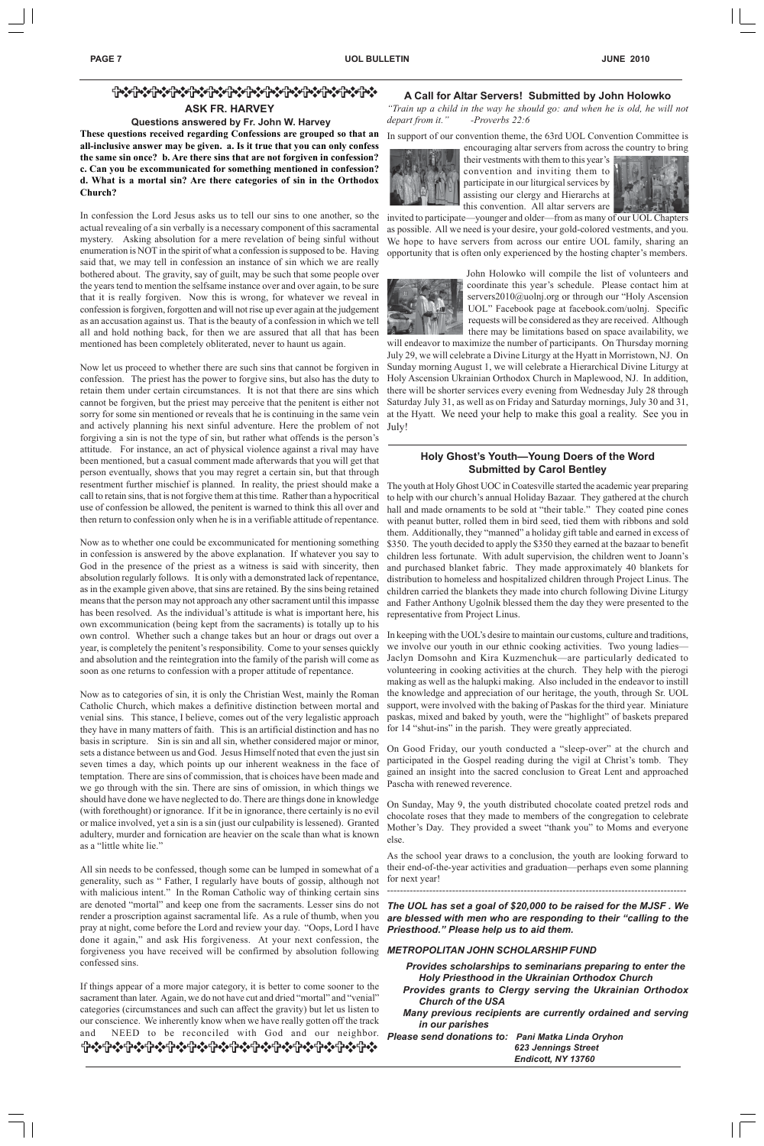# ============== **ASK FR. HARVEY**

#### **Questions answered by Fr. John W. Harvey**

**These questions received regarding Confessions are grouped so that an all-inclusive answer may be given. a. Is it true that you can only confess the same sin once? b. Are there sins that are not forgiven in confession? c. Can you be excommunicated for something mentioned in confession? d. What is a mortal sin? Are there categories of sin in the Orthodox Church?**

In confession the Lord Jesus asks us to tell our sins to one another, so the actual revealing of a sin verbally is a necessary component of this sacramental mystery. Asking absolution for a mere revelation of being sinful without enumeration is NOT in the spirit of what a confession is supposed to be. Having said that, we may tell in confession an instance of sin which we are really bothered about. The gravity, say of guilt, may be such that some people over the years tend to mention the selfsame instance over and over again, to be sure that it is really forgiven. Now this is wrong, for whatever we reveal in confession is forgiven, forgotten and will not rise up ever again at the judgement as an accusation against us. That is the beauty of a confession in which we tell all and hold nothing back, for then we are assured that all that has been mentioned has been completely obliterated, never to haunt us again.

Now let us proceed to whether there are such sins that cannot be forgiven in confession. The priest has the power to forgive sins, but also has the duty to retain them under certain circumstances. It is not that there are sins which cannot be forgiven, but the priest may perceive that the penitent is either not sorry for some sin mentioned or reveals that he is continuing in the same vein and actively planning his next sinful adventure. Here the problem of not forgiving a sin is not the type of sin, but rather what offends is the person's attitude. For instance, an act of physical violence against a rival may have been mentioned, but a casual comment made afterwards that you will get that person eventually, shows that you may regret a certain sin, but that through resentment further mischief is planned. In reality, the priest should make a call to retain sins, that is not forgive them at this time. Rather than a hypocritical use of confession be allowed, the penitent is warned to think this all over and then return to confession only when he is in a verifiable attitude of repentance.

If things appear of a more major category, it is better to come sooner to the sacrament than later. Again, we do not have cut and dried "mortal" and "venial" categories (circumstances and such can affect the gravity) but let us listen to our conscience. We inherently know when we have really gotten off the track and NEED to be reconciled with God and our neighbor. O 수 있다 아이는 아이는 아이가 아니다. 이 아이는 아이가 아니라 아이가 아니라 아이가 아니라 아이가 아니라 아이가 아니라 아이가 아니라 아이가 아니라 아이가 아니라 아이가 아니라 아이가 아니라 아

Now as to whether one could be excommunicated for mentioning something in confession is answered by the above explanation. If whatever you say to God in the presence of the priest as a witness is said with sincerity, then absolution regularly follows. It is only with a demonstrated lack of repentance, as in the example given above, that sins are retained. By the sins being retained means that the person may not approach any other sacrament until this impasse has been resolved. As the individual's attitude is what is important here, his own excommunication (being kept from the sacraments) is totally up to his own control. Whether such a change takes but an hour or drags out over a year, is completely the penitent's responsibility. Come to your senses quickly and absolution and the reintegration into the family of the parish will come as soon as one returns to confession with a proper attitude of repentance.

Now as to categories of sin, it is only the Christian West, mainly the Roman Catholic Church, which makes a definitive distinction between mortal and venial sins. This stance, I believe, comes out of the very legalistic approach they have in many matters of faith. This is an artificial distinction and has no basis in scripture. Sin is sin and all sin, whether considered major or minor, sets a distance between us and God. Jesus Himself noted that even the just sin seven times a day, which points up our inherent weakness in the face of temptation. There are sins of commission, that is choices have been made and we go through with the sin. There are sins of omission, in which things we should have done we have neglected to do. There are things done in knowledge (with forethought) or ignorance. If it be in ignorance, there certainly is no evil or malice involved, yet a sin is a sin (just our culpability is lessened). Granted adultery, murder and fornication are heavier on the scale than what is known as a "little white lie."

All sin needs to be confessed, though some can be lumped in somewhat of a generality, such as " Father, I regularly have bouts of gossip, although not with malicious intent." In the Roman Catholic way of thinking certain sins are denoted "mortal" and keep one from the sacraments. Lesser sins do not render a proscription against sacramental life. As a rule of thumb, when you pray at night, come before the Lord and review your day. "Oops, Lord I have done it again," and ask His forgiveness. At your next confession, the forgiveness you have received will be confirmed by absolution following confessed sins.

#### **A Call for Altar Servers! Submitted by John Holowko**

*"Train up a child in the way he should go: and when he is old, he will not depart from it." -Proverbs 22:6*

In support of our convention theme, the 63rd UOL Convention Committee is



their vestments with them to this year's convention and inviting them to participate in our liturgical services by assisting our clergy and Hierarchs at this convention. All altar servers are



invited to participate—younger and older—from as many of our UOL Chapters as possible. All we need is your desire, your gold-colored vestments, and you. We hope to have servers from across our entire UOL family, sharing an opportunity that is often only experienced by the hosting chapter's members.



John Holowko will compile the list of volunteers and coordinate this year's schedule. Please contact him at servers2010@uolnj.org or through our "Holy Ascension UOL" Facebook page at facebook.com/uolnj. Specific requests will be considered as they are received. Although there may be limitations based on space availability, we

will endeavor to maximize the number of participants. On Thursday morning July 29, we will celebrate a Divine Liturgy at the Hyatt in Morristown, NJ. On Sunday morning August 1, we will celebrate a Hierarchical Divine Liturgy at Holy Ascension Ukrainian Orthodox Church in Maplewood, NJ. In addition, there will be shorter services every evening from Wednesday July 28 through Saturday July 31, as well as on Friday and Saturday mornings, July 30 and 31, at the Hyatt. We need your help to make this goal a reality. See you in July!

#### **Holy Ghost's Youth—Young Doers of the Word Submitted by Carol Bentley**

The youth at Holy Ghost UOC in Coatesville started the academic year preparing to help with our church's annual Holiday Bazaar. They gathered at the church hall and made ornaments to be sold at "their table." They coated pine cones with peanut butter, rolled them in bird seed, tied them with ribbons and sold them. Additionally, they "manned" a holiday gift table and earned in excess of \$350. The youth decided to apply the \$350 they earned at the bazaar to benefit children less fortunate. With adult supervision, the children went to Joann's and purchased blanket fabric. They made approximately 40 blankets for distribution to homeless and hospitalized children through Project Linus. The children carried the blankets they made into church following Divine Liturgy and Father Anthony Ugolnik blessed them the day they were presented to the representative from Project Linus.

In keeping with the UOL's desire to maintain our customs, culture and traditions, we involve our youth in our ethnic cooking activities. Two young ladies— Jaclyn Domsohn and Kira Kuzmenchuk—are particularly dedicated to volunteering in cooking activities at the church. They help with the pierogi making as well as the halupki making. Also included in the endeavor to instill the knowledge and appreciation of our heritage, the youth, through Sr. UOL support, were involved with the baking of Paskas for the third year. Miniature paskas, mixed and baked by youth, were the "highlight" of baskets prepared for 14 "shut-ins" in the parish. They were greatly appreciated.

On Good Friday, our youth conducted a "sleep-over" at the church and participated in the Gospel reading during the vigil at Christ's tomb. They gained an insight into the sacred conclusion to Great Lent and approached Pascha with renewed reverence.

On Sunday, May 9, the youth distributed chocolate coated pretzel rods and chocolate roses that they made to members of the congregation to celebrate Mother's Day. They provided a sweet "thank you" to Moms and everyone else.

As the school year draws to a conclusion, the youth are looking forward to their end-of-the-year activities and graduation—perhaps even some planning for next year!

--------------------------------------------------------------------------------------------

*The UOL has set a goal of \$20,000 to be raised for the MJSF . We are blessed with men who are responding to their "calling to the Priesthood." Please help us to aid them.*

#### *METROPOLITAN JOHN SCHOLARSHIP FUND*

- *Provides scholarships to seminarians preparing to enter the Holy Priesthood in the Ukrainian Orthodox Church*
- *Provides grants to Clergy serving the Ukrainian Orthodox Church of the USA*
- *Many previous recipients are currently ordained and serving in our parishes*
- *Please send donations to: Pani Matka Linda Oryhon 623 Jennings Street*

*Endicott, NY 13760*